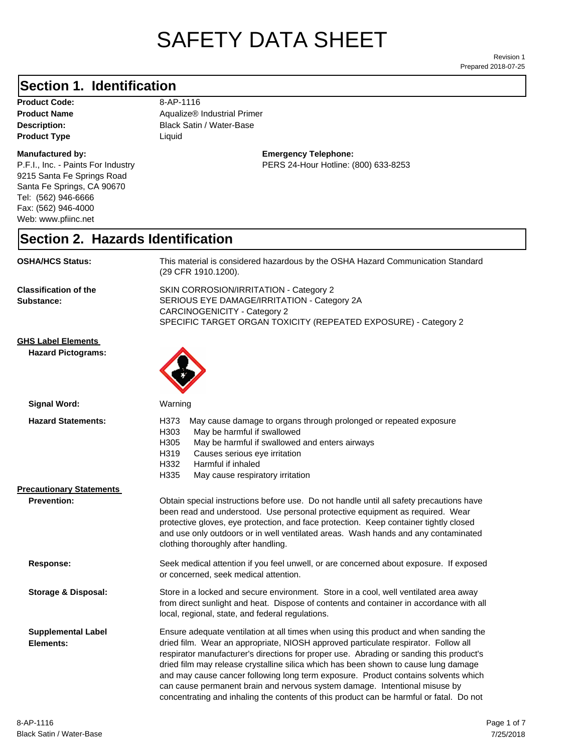# SAFETY DATA SHEET

Prepared 2018-07-25 Revision 1

### **Section 1. Identification**

Product Code: 8-AP-1116 **Product Type Liquid Liquid** 

#### **Manufactured by:**

P.F.I., Inc. - Paints For Industry 9215 Santa Fe Springs Road Santa Fe Springs, CA 90670 Tel: (562) 946-6666 Fax: (562) 946-4000 Web: www.pfiinc.net

**Description:** Black Satin / Water-Base **Product Name** Aqualize® Industrial Primer

> **Emergency Telephone:** PERS 24-Hour Hotline: (800) 633-8253

### **Section 2. Hazards Identification**

| <b>OSHA/HCS Status:</b>                                | This material is considered hazardous by the OSHA Hazard Communication Standard<br>(29 CFR 1910.1200).                                                                                                                                                                                                                                                                                                                                                                                                                                                                                                                       |  |
|--------------------------------------------------------|------------------------------------------------------------------------------------------------------------------------------------------------------------------------------------------------------------------------------------------------------------------------------------------------------------------------------------------------------------------------------------------------------------------------------------------------------------------------------------------------------------------------------------------------------------------------------------------------------------------------------|--|
| <b>Classification of the</b><br>Substance:             | SKIN CORROSION/IRRITATION - Category 2<br>SERIOUS EYE DAMAGE/IRRITATION - Category 2A<br><b>CARCINOGENICITY - Category 2</b><br>SPECIFIC TARGET ORGAN TOXICITY (REPEATED EXPOSURE) - Category 2                                                                                                                                                                                                                                                                                                                                                                                                                              |  |
| <b>GHS Label Elements</b><br><b>Hazard Pictograms:</b> |                                                                                                                                                                                                                                                                                                                                                                                                                                                                                                                                                                                                                              |  |
| <b>Signal Word:</b>                                    | Warning                                                                                                                                                                                                                                                                                                                                                                                                                                                                                                                                                                                                                      |  |
| <b>Hazard Statements:</b>                              | H373<br>May cause damage to organs through prolonged or repeated exposure<br>H303<br>May be harmful if swallowed<br>H305<br>May be harmful if swallowed and enters airways<br>H319<br>Causes serious eye irritation<br>H332<br>Harmful if inhaled<br>H335<br>May cause respiratory irritation                                                                                                                                                                                                                                                                                                                                |  |
| <b>Precautionary Statements</b>                        |                                                                                                                                                                                                                                                                                                                                                                                                                                                                                                                                                                                                                              |  |
| <b>Prevention:</b>                                     | Obtain special instructions before use. Do not handle until all safety precautions have<br>been read and understood. Use personal protective equipment as required. Wear<br>protective gloves, eye protection, and face protection. Keep container tightly closed<br>and use only outdoors or in well ventilated areas. Wash hands and any contaminated<br>clothing thoroughly after handling.                                                                                                                                                                                                                               |  |
| Response:                                              | Seek medical attention if you feel unwell, or are concerned about exposure. If exposed<br>or concerned, seek medical attention.                                                                                                                                                                                                                                                                                                                                                                                                                                                                                              |  |
| <b>Storage &amp; Disposal:</b>                         | Store in a locked and secure environment. Store in a cool, well ventilated area away<br>from direct sunlight and heat. Dispose of contents and container in accordance with all<br>local, regional, state, and federal regulations.                                                                                                                                                                                                                                                                                                                                                                                          |  |
| <b>Supplemental Label</b><br>Elements:                 | Ensure adequate ventilation at all times when using this product and when sanding the<br>dried film. Wear an appropriate, NIOSH approved particulate respirator. Follow all<br>respirator manufacturer's directions for proper use. Abrading or sanding this product's<br>dried film may release crystalline silica which has been shown to cause lung damage<br>and may cause cancer following long term exposure. Product contains solvents which<br>can cause permanent brain and nervous system damage. Intentional misuse by<br>concentrating and inhaling the contents of this product can be harmful or fatal. Do not |  |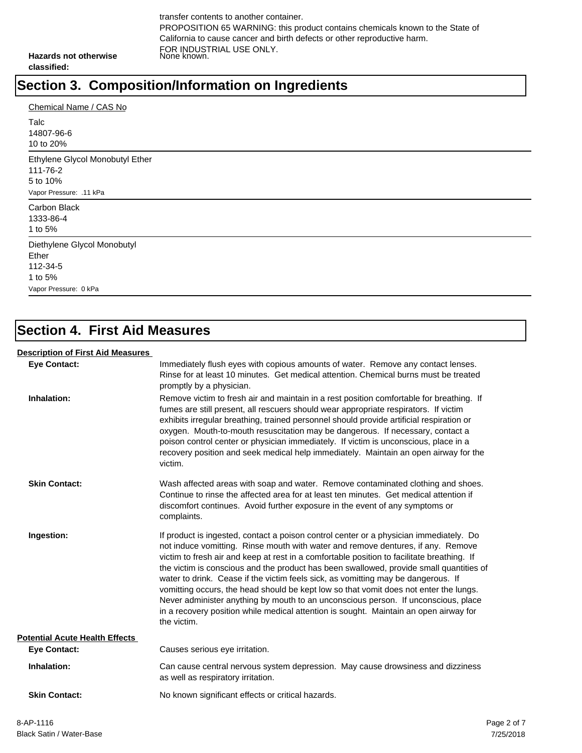transfer contents to another container. PROPOSITION 65 WARNING: this product contains chemicals known to the State of California to cause cancer and birth defects or other reproductive harm. FOR INDUSTRIAL USE ONLY. None known.

**Hazards not otherwise classified:**

# **Section 3. Composition/Information on Ingredients**

| Chemical Name / CAS No          |
|---------------------------------|
| Talc<br>14807-96-6              |
| 10 to 20%                       |
| Ethylene Glycol Monobutyl Ether |
| 111-76-2                        |
| 5 to 10%                        |
| Vapor Pressure: .11 kPa         |
| Carbon Black                    |
| 1333-86-4                       |
| 1 to 5%                         |
| Diethylene Glycol Monobutyl     |
| Ether                           |
| 112-34-5                        |
| 1 to 5%                         |
| Vapor Pressure: 0 kPa           |

## **Section 4. First Aid Measures**

#### **Description of First Aid Measures**

| <b>Eye Contact:</b>                   | Immediately flush eyes with copious amounts of water. Remove any contact lenses.<br>Rinse for at least 10 minutes. Get medical attention, Chemical burns must be treated<br>promptly by a physician.                                                                                                                                                                                                                                                                                                                                                                                                                                                                                                                                            |
|---------------------------------------|-------------------------------------------------------------------------------------------------------------------------------------------------------------------------------------------------------------------------------------------------------------------------------------------------------------------------------------------------------------------------------------------------------------------------------------------------------------------------------------------------------------------------------------------------------------------------------------------------------------------------------------------------------------------------------------------------------------------------------------------------|
| Inhalation:                           | Remove victim to fresh air and maintain in a rest position comfortable for breathing. If<br>fumes are still present, all rescuers should wear appropriate respirators. If victim<br>exhibits irregular breathing, trained personnel should provide artificial respiration or<br>oxygen. Mouth-to-mouth resuscitation may be dangerous. If necessary, contact a<br>poison control center or physician immediately. If victim is unconscious, place in a<br>recovery position and seek medical help immediately. Maintain an open airway for the<br>victim.                                                                                                                                                                                       |
| <b>Skin Contact:</b>                  | Wash affected areas with soap and water. Remove contaminated clothing and shoes.<br>Continue to rinse the affected area for at least ten minutes. Get medical attention if<br>discomfort continues. Avoid further exposure in the event of any symptoms or<br>complaints.                                                                                                                                                                                                                                                                                                                                                                                                                                                                       |
| Ingestion:                            | If product is ingested, contact a poison control center or a physician immediately. Do<br>not induce vomitting. Rinse mouth with water and remove dentures, if any. Remove<br>victim to fresh air and keep at rest in a comfortable position to facilitate breathing. If<br>the victim is conscious and the product has been swallowed, provide small quantities of<br>water to drink. Cease if the victim feels sick, as vomitting may be dangerous. If<br>vomitting occurs, the head should be kept low so that vomit does not enter the lungs.<br>Never administer anything by mouth to an unconscious person. If unconscious, place<br>in a recovery position while medical attention is sought. Maintain an open airway for<br>the victim. |
| <b>Potential Acute Health Effects</b> |                                                                                                                                                                                                                                                                                                                                                                                                                                                                                                                                                                                                                                                                                                                                                 |
| <b>Eye Contact:</b>                   | Causes serious eye irritation.                                                                                                                                                                                                                                                                                                                                                                                                                                                                                                                                                                                                                                                                                                                  |
| Inhalation:                           | Can cause central nervous system depression. May cause drowsiness and dizziness<br>as well as respiratory irritation.                                                                                                                                                                                                                                                                                                                                                                                                                                                                                                                                                                                                                           |
| <b>Skin Contact:</b>                  | No known significant effects or critical hazards.                                                                                                                                                                                                                                                                                                                                                                                                                                                                                                                                                                                                                                                                                               |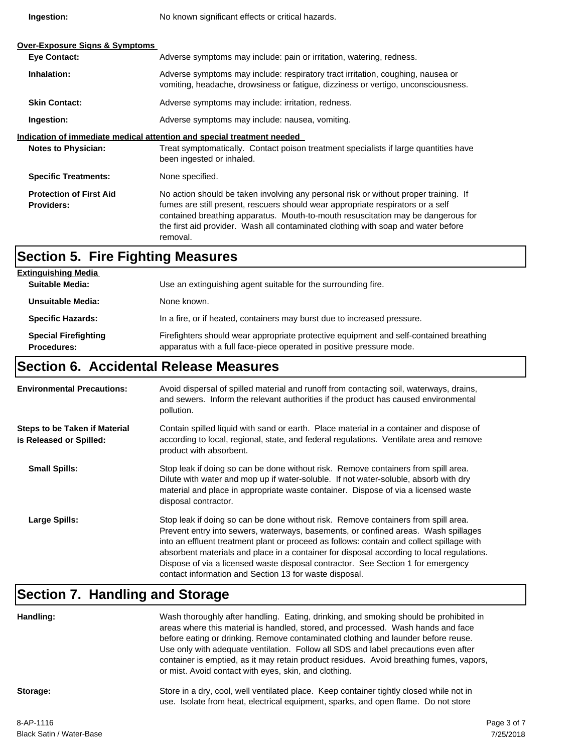**Ingestion:**

No known significant effects or critical hazards.

| <b>Over-Exposure Signs &amp; Symptoms</b><br><b>Eye Contact:</b>       | Adverse symptoms may include: pain or irritation, watering, redness.                                                                                                                                                                                                                                                                                         |  |
|------------------------------------------------------------------------|--------------------------------------------------------------------------------------------------------------------------------------------------------------------------------------------------------------------------------------------------------------------------------------------------------------------------------------------------------------|--|
| Inhalation:                                                            | Adverse symptoms may include: respiratory tract irritation, coughing, nausea or<br>vomiting, headache, drowsiness or fatigue, dizziness or vertigo, unconsciousness.                                                                                                                                                                                         |  |
| <b>Skin Contact:</b>                                                   | Adverse symptoms may include: irritation, redness.                                                                                                                                                                                                                                                                                                           |  |
| Ingestion:                                                             | Adverse symptoms may include: nausea, vomiting.                                                                                                                                                                                                                                                                                                              |  |
| Indication of immediate medical attention and special treatment needed |                                                                                                                                                                                                                                                                                                                                                              |  |
| <b>Notes to Physician:</b>                                             | Treat symptomatically. Contact poison treatment specialists if large quantities have<br>been ingested or inhaled.                                                                                                                                                                                                                                            |  |
| <b>Specific Treatments:</b>                                            | None specified.                                                                                                                                                                                                                                                                                                                                              |  |
| <b>Protection of First Aid</b><br><b>Providers:</b>                    | No action should be taken involving any personal risk or without proper training. If<br>fumes are still present, rescuers should wear appropriate respirators or a self<br>contained breathing apparatus. Mouth-to-mouth resuscitation may be dangerous for<br>the first aid provider. Wash all contaminated clothing with soap and water before<br>removal. |  |

## **Section 5. Fire Fighting Measures**

| <b>Extinguishing Media</b>                        |                                                                                                                                                                |
|---------------------------------------------------|----------------------------------------------------------------------------------------------------------------------------------------------------------------|
| Suitable Media:                                   | Use an extinguishing agent suitable for the surrounding fire.                                                                                                  |
| Unsuitable Media:                                 | None known.                                                                                                                                                    |
| <b>Specific Hazards:</b>                          | In a fire, or if heated, containers may burst due to increased pressure.                                                                                       |
| <b>Special Firefighting</b><br><b>Procedures:</b> | Firefighters should wear appropriate protective equipment and self-contained breathing<br>apparatus with a full face-piece operated in positive pressure mode. |

# **Section 6. Accidental Release Measures**

| <b>Environmental Precautions:</b>                               | Avoid dispersal of spilled material and runoff from contacting soil, waterways, drains,<br>and sewers. Inform the relevant authorities if the product has caused environmental<br>pollution.                                                                                                                                                                                                                                                                                                                     |
|-----------------------------------------------------------------|------------------------------------------------------------------------------------------------------------------------------------------------------------------------------------------------------------------------------------------------------------------------------------------------------------------------------------------------------------------------------------------------------------------------------------------------------------------------------------------------------------------|
| <b>Steps to be Taken if Material</b><br>is Released or Spilled: | Contain spilled liquid with sand or earth. Place material in a container and dispose of<br>according to local, regional, state, and federal regulations. Ventilate area and remove<br>product with absorbent.                                                                                                                                                                                                                                                                                                    |
| <b>Small Spills:</b>                                            | Stop leak if doing so can be done without risk. Remove containers from spill area.<br>Dilute with water and mop up if water-soluble. If not water-soluble, absorb with dry<br>material and place in appropriate waste container. Dispose of via a licensed waste<br>disposal contractor.                                                                                                                                                                                                                         |
| Large Spills:                                                   | Stop leak if doing so can be done without risk. Remove containers from spill area.<br>Prevent entry into sewers, waterways, basements, or confined areas. Wash spillages<br>into an effluent treatment plant or proceed as follows: contain and collect spillage with<br>absorbent materials and place in a container for disposal according to local regulations.<br>Dispose of via a licensed waste disposal contractor. See Section 1 for emergency<br>contact information and Section 13 for waste disposal. |

# **Section 7. Handling and Storage**

| Handling: | Wash thoroughly after handling. Eating, drinking, and smoking should be prohibited in<br>areas where this material is handled, stored, and processed. Wash hands and face<br>before eating or drinking. Remove contaminated clothing and launder before reuse.<br>Use only with adequate ventilation. Follow all SDS and label precautions even after<br>container is emptied, as it may retain product residues. Avoid breathing fumes, vapors,<br>or mist. Avoid contact with eyes, skin, and clothing. |
|-----------|-----------------------------------------------------------------------------------------------------------------------------------------------------------------------------------------------------------------------------------------------------------------------------------------------------------------------------------------------------------------------------------------------------------------------------------------------------------------------------------------------------------|
| Storage:  | Store in a dry, cool, well ventilated place. Keep container tightly closed while not in<br>use. Isolate from heat, electrical equipment, sparks, and open flame. Do not store                                                                                                                                                                                                                                                                                                                             |
| 0.001110  |                                                                                                                                                                                                                                                                                                                                                                                                                                                                                                           |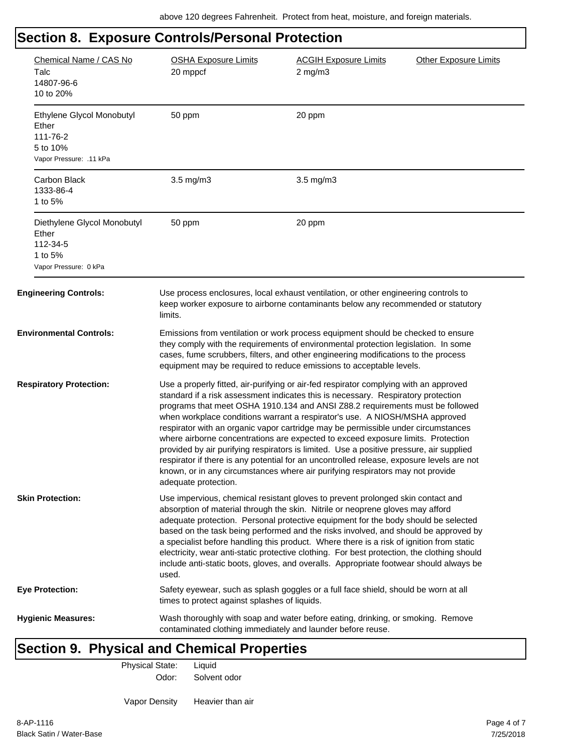| Chemical Name / CAS No<br>Talc<br>14807-96-6<br>10 to 20%                             | <b>OSHA Exposure Limits</b><br>20 mppcf                                                                                                                                                                                                                                                                                                                                                                                                                                                                                                                                                                                                                                                                                                                                                                               | <b>ACGIH Exposure Limits</b><br>$2$ mg/m $3$                                                                                                                                                                                                                                                                                        | <b>Other Exposure Limits</b> |
|---------------------------------------------------------------------------------------|-----------------------------------------------------------------------------------------------------------------------------------------------------------------------------------------------------------------------------------------------------------------------------------------------------------------------------------------------------------------------------------------------------------------------------------------------------------------------------------------------------------------------------------------------------------------------------------------------------------------------------------------------------------------------------------------------------------------------------------------------------------------------------------------------------------------------|-------------------------------------------------------------------------------------------------------------------------------------------------------------------------------------------------------------------------------------------------------------------------------------------------------------------------------------|------------------------------|
| Ethylene Glycol Monobutyl<br>Ether<br>111-76-2<br>5 to 10%<br>Vapor Pressure: .11 kPa | 50 ppm                                                                                                                                                                                                                                                                                                                                                                                                                                                                                                                                                                                                                                                                                                                                                                                                                | 20 ppm                                                                                                                                                                                                                                                                                                                              |                              |
| <b>Carbon Black</b><br>1333-86-4<br>1 to 5%                                           | $3.5 \text{ mg/m}$                                                                                                                                                                                                                                                                                                                                                                                                                                                                                                                                                                                                                                                                                                                                                                                                    | $3.5 \text{ mg/m}$                                                                                                                                                                                                                                                                                                                  |                              |
| Diethylene Glycol Monobutyl<br>Ether<br>112-34-5<br>1 to 5%<br>Vapor Pressure: 0 kPa  | 50 ppm                                                                                                                                                                                                                                                                                                                                                                                                                                                                                                                                                                                                                                                                                                                                                                                                                | 20 ppm                                                                                                                                                                                                                                                                                                                              |                              |
| <b>Engineering Controls:</b>                                                          | limits.                                                                                                                                                                                                                                                                                                                                                                                                                                                                                                                                                                                                                                                                                                                                                                                                               | Use process enclosures, local exhaust ventilation, or other engineering controls to<br>keep worker exposure to airborne contaminants below any recommended or statutory                                                                                                                                                             |                              |
| <b>Environmental Controls:</b>                                                        |                                                                                                                                                                                                                                                                                                                                                                                                                                                                                                                                                                                                                                                                                                                                                                                                                       | Emissions from ventilation or work process equipment should be checked to ensure<br>they comply with the requirements of environmental protection legislation. In some<br>cases, fume scrubbers, filters, and other engineering modifications to the process<br>equipment may be required to reduce emissions to acceptable levels. |                              |
| <b>Respiratory Protection:</b>                                                        | Use a properly fitted, air-purifying or air-fed respirator complying with an approved<br>standard if a risk assessment indicates this is necessary. Respiratory protection<br>programs that meet OSHA 1910.134 and ANSI Z88.2 requirements must be followed<br>when workplace conditions warrant a respirator's use. A NIOSH/MSHA approved<br>respirator with an organic vapor cartridge may be permissible under circumstances<br>where airborne concentrations are expected to exceed exposure limits. Protection<br>provided by air purifying respirators is limited. Use a positive pressure, air supplied<br>respirator if there is any potential for an uncontrolled release, exposure levels are not<br>known, or in any circumstances where air purifying respirators may not provide<br>adequate protection. |                                                                                                                                                                                                                                                                                                                                     |                              |
| <b>Skin Protection:</b>                                                               | Use impervious, chemical resistant gloves to prevent prolonged skin contact and<br>absorption of material through the skin. Nitrile or neoprene gloves may afford<br>adequate protection. Personal protective equipment for the body should be selected<br>based on the task being performed and the risks involved, and should be approved by<br>a specialist before handling this product. Where there is a risk of ignition from static<br>electricity, wear anti-static protective clothing. For best protection, the clothing should<br>include anti-static boots, gloves, and overalls. Appropriate footwear should always be<br>used.                                                                                                                                                                          |                                                                                                                                                                                                                                                                                                                                     |                              |
| <b>Eye Protection:</b>                                                                | times to protect against splashes of liquids.                                                                                                                                                                                                                                                                                                                                                                                                                                                                                                                                                                                                                                                                                                                                                                         | Safety eyewear, such as splash goggles or a full face shield, should be worn at all                                                                                                                                                                                                                                                 |                              |
| <b>Hygienic Measures:</b>                                                             | contaminated clothing immediately and launder before reuse.                                                                                                                                                                                                                                                                                                                                                                                                                                                                                                                                                                                                                                                                                                                                                           | Wash thoroughly with soap and water before eating, drinking, or smoking. Remove                                                                                                                                                                                                                                                     |                              |

# **Section 9. Physical and Chemical Properties**

Physical State: Liquid

Odor: Solvent odor

Vapor Density Heavier than air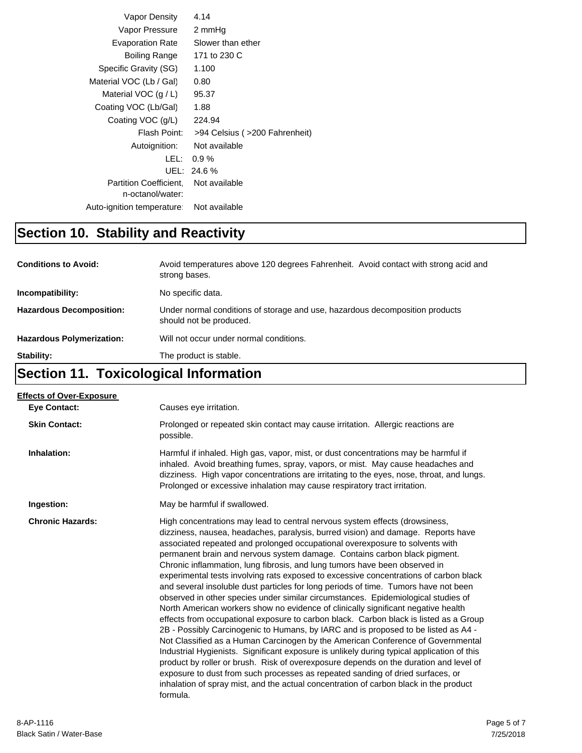| Vapor Density                                     | 4.14                          |
|---------------------------------------------------|-------------------------------|
| Vapor Pressure                                    | 2 mmHq                        |
| <b>Evaporation Rate</b>                           | Slower than ether             |
| Boiling Range                                     | 171 to 230 C                  |
| Specific Gravity (SG)                             | 1.100                         |
| Material VOC (Lb / Gal)                           | 0.80                          |
| Material VOC $(g/L)$                              | 95.37                         |
| Coating VOC (Lb/Gal)                              | 1.88                          |
| Coating VOC (g/L)                                 | 224.94                        |
| Flash Point:                                      | >94 Celsius (>200 Fahrenheit) |
| Autoignition:                                     | Not available                 |
| LEL:                                              | $0.9\%$                       |
| UEL:                                              | 24.6%                         |
| <b>Partition Coefficient.</b><br>n-octanol/water: | Not available                 |
| Auto-ignition temperature:                        | Not available                 |

# **Section 10. Stability and Reactivity**

| <b>Conditions to Avoid:</b>      | Avoid temperatures above 120 degrees Fahrenheit. Avoid contact with strong acid and<br>strong bases.    |
|----------------------------------|---------------------------------------------------------------------------------------------------------|
| Incompatibility:                 | No specific data.                                                                                       |
| <b>Hazardous Decomposition:</b>  | Under normal conditions of storage and use, hazardous decomposition products<br>should not be produced. |
| <b>Hazardous Polymerization:</b> | Will not occur under normal conditions.                                                                 |
| Stability:                       | The product is stable.                                                                                  |

# **Section 11. Toxicological Information**

| <b>Effects of Over-Exposure</b> |                                                                                                                                                                                                                                                                                                                                                                                                                                                                                                                                                                                                                                                                                                                                                                                                                                                                                                                                                                                                                                                                                                                                                                                                                                                                                                                                                                                                                      |
|---------------------------------|----------------------------------------------------------------------------------------------------------------------------------------------------------------------------------------------------------------------------------------------------------------------------------------------------------------------------------------------------------------------------------------------------------------------------------------------------------------------------------------------------------------------------------------------------------------------------------------------------------------------------------------------------------------------------------------------------------------------------------------------------------------------------------------------------------------------------------------------------------------------------------------------------------------------------------------------------------------------------------------------------------------------------------------------------------------------------------------------------------------------------------------------------------------------------------------------------------------------------------------------------------------------------------------------------------------------------------------------------------------------------------------------------------------------|
| <b>Eve Contact:</b>             | Causes eye irritation.                                                                                                                                                                                                                                                                                                                                                                                                                                                                                                                                                                                                                                                                                                                                                                                                                                                                                                                                                                                                                                                                                                                                                                                                                                                                                                                                                                                               |
| <b>Skin Contact:</b>            | Prolonged or repeated skin contact may cause irritation. Allergic reactions are<br>possible.                                                                                                                                                                                                                                                                                                                                                                                                                                                                                                                                                                                                                                                                                                                                                                                                                                                                                                                                                                                                                                                                                                                                                                                                                                                                                                                         |
| Inhalation:                     | Harmful if inhaled. High gas, vapor, mist, or dust concentrations may be harmful if<br>inhaled. Avoid breathing fumes, spray, vapors, or mist. May cause headaches and<br>dizziness. High vapor concentrations are irritating to the eyes, nose, throat, and lungs.<br>Prolonged or excessive inhalation may cause respiratory tract irritation.                                                                                                                                                                                                                                                                                                                                                                                                                                                                                                                                                                                                                                                                                                                                                                                                                                                                                                                                                                                                                                                                     |
| Ingestion:                      | May be harmful if swallowed.                                                                                                                                                                                                                                                                                                                                                                                                                                                                                                                                                                                                                                                                                                                                                                                                                                                                                                                                                                                                                                                                                                                                                                                                                                                                                                                                                                                         |
| <b>Chronic Hazards:</b>         | High concentrations may lead to central nervous system effects (drowsiness,<br>dizziness, nausea, headaches, paralysis, burred vision) and damage. Reports have<br>associated repeated and prolonged occupational overexposure to solvents with<br>permanent brain and nervous system damage. Contains carbon black pigment.<br>Chronic inflammation, lung fibrosis, and lung tumors have been observed in<br>experimental tests involving rats exposed to excessive concentrations of carbon black<br>and several insoluble dust particles for long periods of time. Tumors have not been<br>observed in other species under similar circumstances. Epidemiological studies of<br>North American workers show no evidence of clinically significant negative health<br>effects from occupational exposure to carbon black. Carbon black is listed as a Group<br>2B - Possibly Carcinogenic to Humans, by IARC and is proposed to be listed as A4 -<br>Not Classified as a Human Carcinogen by the American Conference of Governmental<br>Industrial Hygienists. Significant exposure is unlikely during typical application of this<br>product by roller or brush. Risk of overexposure depends on the duration and level of<br>exposure to dust from such processes as repeated sanding of dried surfaces, or<br>inhalation of spray mist, and the actual concentration of carbon black in the product<br>formula. |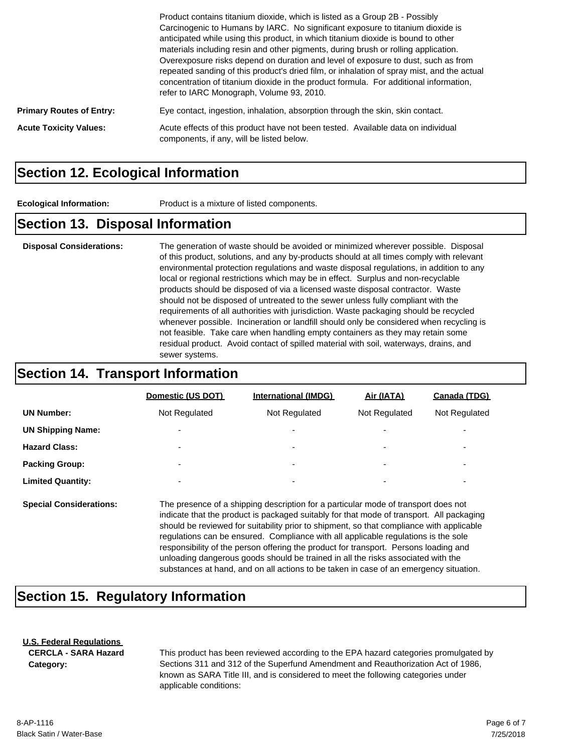|                                 | Product contains titanium dioxide, which is listed as a Group 2B - Possibly<br>Carcinogenic to Humans by IARC. No significant exposure to titanium dioxide is<br>anticipated while using this product, in which titanium dioxide is bound to other<br>materials including resin and other pigments, during brush or rolling application.<br>Overexposure risks depend on duration and level of exposure to dust, such as from<br>repeated sanding of this product's dried film, or inhalation of spray mist, and the actual<br>concentration of titanium dioxide in the product formula. For additional information,<br>refer to IARC Monograph, Volume 93, 2010. |
|---------------------------------|-------------------------------------------------------------------------------------------------------------------------------------------------------------------------------------------------------------------------------------------------------------------------------------------------------------------------------------------------------------------------------------------------------------------------------------------------------------------------------------------------------------------------------------------------------------------------------------------------------------------------------------------------------------------|
| <b>Primary Routes of Entry:</b> | Eye contact, ingestion, inhalation, absorption through the skin, skin contact.                                                                                                                                                                                                                                                                                                                                                                                                                                                                                                                                                                                    |
| <b>Acute Toxicity Values:</b>   | Acute effects of this product have not been tested. Available data on individual<br>components, if any, will be listed below.                                                                                                                                                                                                                                                                                                                                                                                                                                                                                                                                     |

#### **Section 12. Ecological Information**

**Ecological Information:** Product is a mixture of listed components.

#### **Section 13. Disposal Information**

**Disposal Considerations:** The generation of waste should be avoided or minimized wherever possible. Disposal of this product, solutions, and any by-products should at all times comply with relevant environmental protection regulations and waste disposal regulations, in addition to any local or regional restrictions which may be in effect. Surplus and non-recyclable products should be disposed of via a licensed waste disposal contractor. Waste should not be disposed of untreated to the sewer unless fully compliant with the requirements of all authorities with jurisdiction. Waste packaging should be recycled whenever possible. Incineration or landfill should only be considered when recycling is not feasible. Take care when handling empty containers as they may retain some residual product. Avoid contact of spilled material with soil, waterways, drains, and sewer systems.

#### **Section 14. Transport Information**

|                          | Domestic (US DOT)        | <b>International (IMDG)</b> | Air (IATA)               | Canada (TDG)             |
|--------------------------|--------------------------|-----------------------------|--------------------------|--------------------------|
| <b>UN Number:</b>        | Not Regulated            | Not Regulated               | Not Regulated            | Not Regulated            |
| <b>UN Shipping Name:</b> | $\overline{\phantom{a}}$ | ۰                           | $\overline{\phantom{0}}$ | ۰                        |
| <b>Hazard Class:</b>     | $\overline{\phantom{a}}$ | ۰                           | $\overline{\phantom{0}}$ | ۰                        |
| <b>Packing Group:</b>    | $\overline{\phantom{0}}$ | ۰                           | $\overline{\phantom{0}}$ | $\overline{\phantom{0}}$ |
| <b>Limited Quantity:</b> | $\overline{\phantom{0}}$ | ۰                           | $\overline{\phantom{0}}$ | $\overline{\phantom{0}}$ |
|                          |                          |                             |                          |                          |

**Special Considerations:** The presence of a shipping description for a particular mode of transport does not indicate that the product is packaged suitably for that mode of transport. All packaging should be reviewed for suitability prior to shipment, so that compliance with applicable regulations can be ensured. Compliance with all applicable regulations is the sole responsibility of the person offering the product for transport. Persons loading and unloading dangerous goods should be trained in all the risks associated with the substances at hand, and on all actions to be taken in case of an emergency situation.

### **Section 15. Regulatory Information**

#### **U.S. Federal Regulations CERCLA - SARA Hazard**

**Category:**

This product has been reviewed according to the EPA hazard categories promulgated by Sections 311 and 312 of the Superfund Amendment and Reauthorization Act of 1986, known as SARA Title III, and is considered to meet the following categories under applicable conditions: